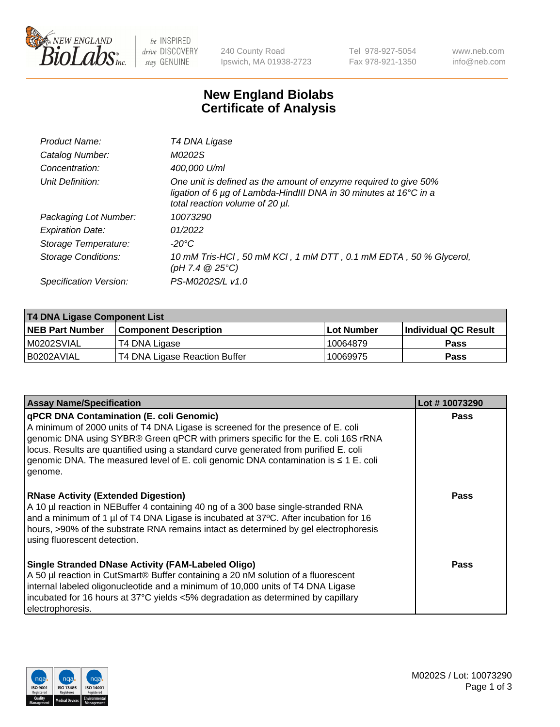

be INSPIRED drive DISCOVERY stay GENUINE

240 County Road Ipswich, MA 01938-2723 Tel 978-927-5054 Fax 978-921-1350 www.neb.com info@neb.com

## **New England Biolabs Certificate of Analysis**

| Product Name:              | T4 DNA Ligase                                                                                                                                                            |
|----------------------------|--------------------------------------------------------------------------------------------------------------------------------------------------------------------------|
| Catalog Number:            | M0202S                                                                                                                                                                   |
| Concentration:             | 400,000 U/ml                                                                                                                                                             |
| Unit Definition:           | One unit is defined as the amount of enzyme required to give 50%<br>ligation of 6 µg of Lambda-HindIII DNA in 30 minutes at 16°C in a<br>total reaction volume of 20 µl. |
| Packaging Lot Number:      | 10073290                                                                                                                                                                 |
| <b>Expiration Date:</b>    | 01/2022                                                                                                                                                                  |
| Storage Temperature:       | -20°C                                                                                                                                                                    |
| <b>Storage Conditions:</b> | 10 mM Tris-HCl, 50 mM KCl, 1 mM DTT, 0.1 mM EDTA, 50 % Glycerol,<br>(pH 7.4 $@25°C$ )                                                                                    |
| Specification Version:     | PS-M0202S/L v1.0                                                                                                                                                         |

| T4 DNA Ligase Component List |                               |              |                             |  |
|------------------------------|-------------------------------|--------------|-----------------------------|--|
| <b>NEB Part Number</b>       | <b>Component Description</b>  | l Lot Number | <b>Individual QC Result</b> |  |
| M0202SVIAL                   | T4 DNA Ligase                 | 10064879     | <b>Pass</b>                 |  |
| I B0202AVIAL                 | T4 DNA Ligase Reaction Buffer | 10069975     | <b>Pass</b>                 |  |

| <b>Assay Name/Specification</b>                                                                                                                                                                                                                                                                                                                                                                                         | Lot #10073290 |
|-------------------------------------------------------------------------------------------------------------------------------------------------------------------------------------------------------------------------------------------------------------------------------------------------------------------------------------------------------------------------------------------------------------------------|---------------|
| <b>qPCR DNA Contamination (E. coli Genomic)</b><br>A minimum of 2000 units of T4 DNA Ligase is screened for the presence of E. coli<br>genomic DNA using SYBR® Green qPCR with primers specific for the E. coli 16S rRNA<br>locus. Results are quantified using a standard curve generated from purified E. coli<br>genomic DNA. The measured level of E. coli genomic DNA contamination is $\leq 1$ E. coli<br>genome. | <b>Pass</b>   |
| <b>RNase Activity (Extended Digestion)</b><br>A 10 µl reaction in NEBuffer 4 containing 40 ng of a 300 base single-stranded RNA<br>and a minimum of 1 µl of T4 DNA Ligase is incubated at 37 $\degree$ C. After incubation for 16<br>hours, >90% of the substrate RNA remains intact as determined by gel electrophoresis<br>using fluorescent detection.                                                               | Pass          |
| Single Stranded DNase Activity (FAM-Labeled Oligo)<br>A 50 µl reaction in CutSmart® Buffer containing a 20 nM solution of a fluorescent<br>internal labeled oligonucleotide and a minimum of 10,000 units of T4 DNA Ligase<br>incubated for 16 hours at 37°C yields <5% degradation as determined by capillary<br>electrophoresis.                                                                                      | Pass          |

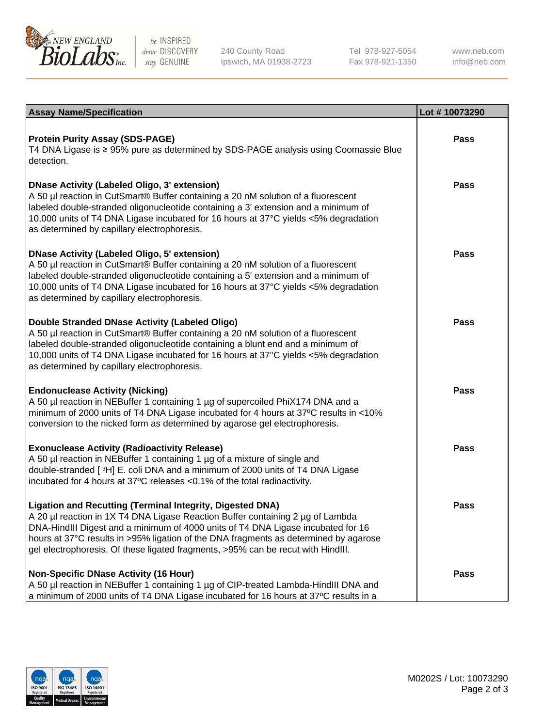

be INSPIRED drive DISCOVERY stay GENUINE

240 County Road Ipswich, MA 01938-2723 Tel 978-927-5054 Fax 978-921-1350

www.neb.com info@neb.com

| <b>Assay Name/Specification</b>                                                                                                                                                                                                                                                                                                                                                                                      | Lot #10073290 |
|----------------------------------------------------------------------------------------------------------------------------------------------------------------------------------------------------------------------------------------------------------------------------------------------------------------------------------------------------------------------------------------------------------------------|---------------|
| <b>Protein Purity Assay (SDS-PAGE)</b><br>T4 DNA Ligase is ≥ 95% pure as determined by SDS-PAGE analysis using Coomassie Blue<br>detection.                                                                                                                                                                                                                                                                          | <b>Pass</b>   |
| DNase Activity (Labeled Oligo, 3' extension)<br>A 50 µl reaction in CutSmart® Buffer containing a 20 nM solution of a fluorescent<br>labeled double-stranded oligonucleotide containing a 3' extension and a minimum of<br>10,000 units of T4 DNA Ligase incubated for 16 hours at 37°C yields <5% degradation<br>as determined by capillary electrophoresis.                                                        | Pass          |
| DNase Activity (Labeled Oligo, 5' extension)<br>A 50 µl reaction in CutSmart® Buffer containing a 20 nM solution of a fluorescent<br>labeled double-stranded oligonucleotide containing a 5' extension and a minimum of<br>10,000 units of T4 DNA Ligase incubated for 16 hours at 37°C yields <5% degradation<br>as determined by capillary electrophoresis.                                                        | Pass          |
| Double Stranded DNase Activity (Labeled Oligo)<br>A 50 µl reaction in CutSmart® Buffer containing a 20 nM solution of a fluorescent<br>labeled double-stranded oligonucleotide containing a blunt end and a minimum of<br>10,000 units of T4 DNA Ligase incubated for 16 hours at 37°C yields <5% degradation<br>as determined by capillary electrophoresis.                                                         | <b>Pass</b>   |
| <b>Endonuclease Activity (Nicking)</b><br>A 50 µl reaction in NEBuffer 1 containing 1 µg of supercoiled PhiX174 DNA and a<br>minimum of 2000 units of T4 DNA Ligase incubated for 4 hours at 37°C results in <10%<br>conversion to the nicked form as determined by agarose gel electrophoresis.                                                                                                                     | <b>Pass</b>   |
| <b>Exonuclease Activity (Radioactivity Release)</b><br>A 50 µl reaction in NEBuffer 1 containing 1 µg of a mixture of single and<br>double-stranded [3H] E. coli DNA and a minimum of 2000 units of T4 DNA Ligase<br>incubated for 4 hours at 37°C releases <0.1% of the total radioactivity.                                                                                                                        | <b>Pass</b>   |
| <b>Ligation and Recutting (Terminal Integrity, Digested DNA)</b><br>  A 20 µl reaction in 1X T4 DNA Ligase Reaction Buffer containing 2 µg of Lambda<br>DNA-HindIII Digest and a minimum of 4000 units of T4 DNA Ligase incubated for 16<br>hours at 37°C results in >95% ligation of the DNA fragments as determined by agarose<br>gel electrophoresis. Of these ligated fragments, >95% can be recut with HindIII. | <b>Pass</b>   |
| Non-Specific DNase Activity (16 Hour)<br>A 50 µl reaction in NEBuffer 1 containing 1 µg of CIP-treated Lambda-HindIII DNA and<br>a minimum of 2000 units of T4 DNA Ligase incubated for 16 hours at 37°C results in a                                                                                                                                                                                                | <b>Pass</b>   |